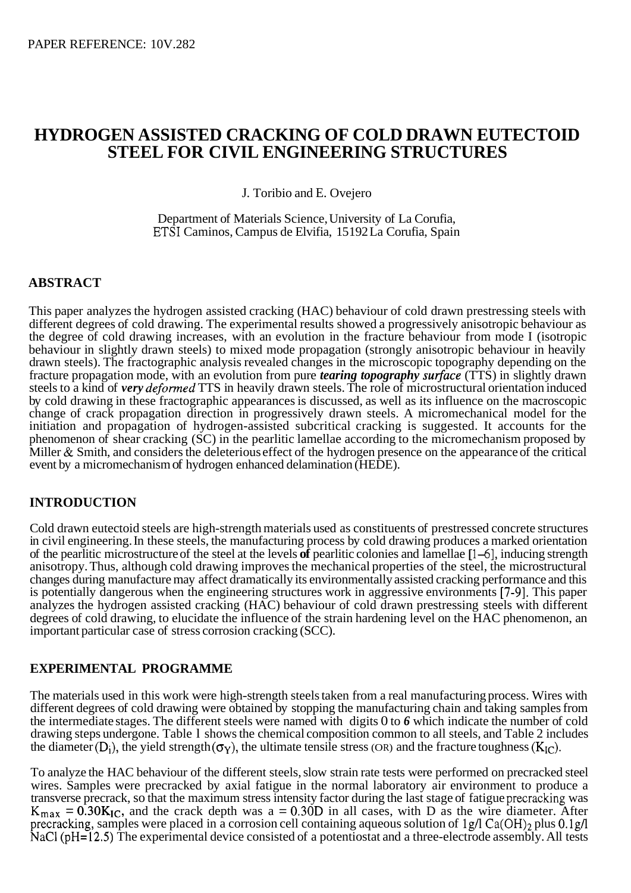# **HYDROGEN ASSISTED CRACKING OF COLD DRAWN EUTECTOID STEEL FOR CIVIL ENGINEERING STRUCTURES**

J. Toribio and E. Ovejero

Department of Materials Science, University of La Corufia, ETSI Caminos, Campus de Elvifia, 15 192 La Corufia, Spain

## **ABSTRACT**

This paper analyzes the hydrogen assisted cracking (HAC) behaviour of cold drawn prestressing steels with different degrees of cold drawing. The experimental results showed a progressively anisotropic behaviour as the degree of cold drawing increases, with an evolution in the fracture behaviour from mode I (isotropic behaviour in slightly drawn steels) to mixed mode propagation (strongly anisotropic behaviour in heavily drawn steels). The fractographic analysis revealed changes in the microscopic topography depending on the fracture propagation mode, with an evolution from pure *tearing topography surface* (TTS) in slightly drawn steels to a kind of *very deformed* TTS in heavily drawn steels. The role of microstructural orientation induced by cold drawing in these fractographic appearances is discussed, as well as its influence on the macroscopic change of crack propagation direction in progressively drawn steels. A micromechanical model for the initiation and propagation of hydrogen-assisted subcritical cracking is suggested. It accounts for the phenomenon of shear cracking (SC) in the pearlitic lamellae according to the micromechanism proposed by Miller & Smith, and considers the deleterious effect of the hydrogen presence on the appearance of the critical event by a micromechanism of hydrogen enhanced delamination (HEDE).

### **INTRODUCTION**

Cold drawn eutectoid steels are high-strength materials used as constituents of prestressed concrete structures in civil engineering. In these steels, the manufacturing process by cold drawing produces a marked orientation of the pearlitic microstructure of the steel at the levels **of** pearlitic colonies and lamellae [ 1-61, inducing strength anisotropy. Thus, although cold drawing improves the mechanical properties of the steel, the microstructural changes during manufacture may affect dramatically its environmentally assisted cracking performance and this is potentially dangerous when the engineering structures work in aggressive environments [7-91. This paper analyzes the hydrogen assisted cracking (HAC) behaviour of cold drawn prestressing steels with different degrees of cold drawing, to elucidate the influence of the strain hardening level on the HAC phenomenon, an important particular case of stress corrosion cracking (SCC).

### **EXPERIMENTAL PROGRAMME**

The materials used in this work were high-strength steels taken from a real manufacturing process. Wires with different degrees of cold drawing were obtained by stopping the manufacturing chain and taking samples from the intermediate stages. The different steels were named with digits 0 to *6* which indicate the number of cold drawing steps undergone. Table l shows the chemical composition common to all steels, and [Table 2](#page-1-0) includes the diameter  $(D_i)$ , the yield strength  $(\sigma_Y)$ , the ultimate tensile stress  $(OR)$  and the fracture toughness  $(K_{IC})$ .

To analyze the HAC behaviour of the different steels, slow strain rate tests were performed on precracked steel wires. Samples were precracked by axial fatigue in the normal laboratory air environment to produce a transverse precrack, so that the maximum stress intensity factor during the last stage of fatigue precracking was  $K_{\text{max}} = 0.30 K_{\text{IC}}$ , and the crack depth was a = 0.30D in all cases, with D as the wire diameter. After precracking, samples were placed in a corrosion cell containing aqueous solution of  $1g/l$  Ca(OH)<sub>2</sub> plus 0.1g/l NaCl (pH=12.5) The experimental device consisted of a potentiostat and a three-electrode assembly. All tests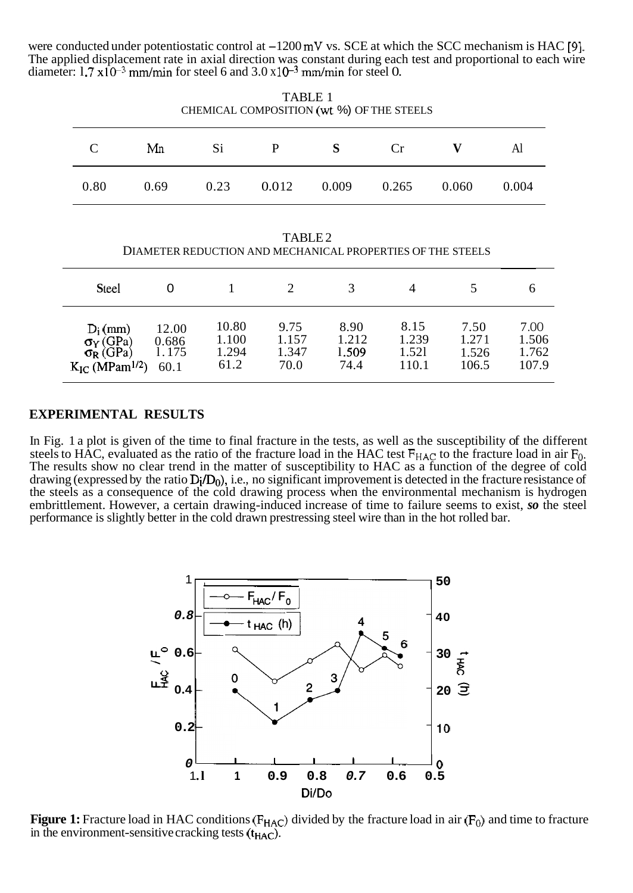<span id="page-1-0"></span>were conducted under potentiostatic control at  $-1200 \,\text{mV}$  vs. SCE at which the SCC mechanism is HAC [9]. The applied displacement rate in axial direction was constant during each test and proportional to each wire diameter:  $1.7 \times 10^{-3}$  mm/min for steel 6 and  $3.0 \times 10^{-3}$  mm/min for steel 0.

| .<br>CHEMICAL COMPOSITION (wt %) OF THE STEELS |      |      |       |       |       |       |       |  |  |  |  |
|------------------------------------------------|------|------|-------|-------|-------|-------|-------|--|--|--|--|
| $\mathcal{C}_{\mathcal{C}}$                    | Mn   | Si   | P     | S.    | Cr    |       | Al    |  |  |  |  |
| 0.80                                           | 0.69 | 0.23 | 0.012 | 0.009 | 0.265 | 0.060 | 0.004 |  |  |  |  |

TARI F 1

TABLE 2 DIAMETER REDUCTION AND MECHANICAL PROPERTIES OF THE STEELS

| <b>Steel</b>                                                                        |                                 |                                 |                                |                                |                                 |                                 |                                 |
|-------------------------------------------------------------------------------------|---------------------------------|---------------------------------|--------------------------------|--------------------------------|---------------------------------|---------------------------------|---------------------------------|
| $D_i$ (mm)<br>$\sigma_Y(GPa)$<br>$\sigma_R(GPa)$<br>$K_{IC}$ (MPam <sup>1/2</sup> ) | 12.00<br>0.686<br>1.175<br>60.1 | 10.80<br>1.100<br>1.294<br>61.2 | 9.75<br>1.157<br>1.347<br>70.0 | 8.90<br>1.212<br>1.509<br>74.4 | 8.15<br>1.239<br>1.521<br>110.1 | 7.50<br>1.271<br>1.526<br>106.5 | 7.00<br>1.506<br>1.762<br>107.9 |

### **EXPERIMENTAL RESULTS**

In Fig. 1 a plot is given of the time to final fracture in the tests, as well as the susceptibility of the different steels to HAC, evaluated as the ratio of the fracture load in the HAC test  $F_{HAC}$  to the fracture load in air  $F_0$ . The results show no clear trend in the matter of susceptibility to HAC as a function of the degree of cold drawing (expressed by the ratio  $D_i/D_0$ ), i.e., no significant improvement is detected in the fracture resistance of the steels as a consequence of the cold drawing process when the environmental mechanism is hydrogen embrittlement. However, a certain drawing-induced increase of time to failure seems to exist, *so* the steel performance is slightly better in the cold drawn prestressing steel wire than in the hot rolled bar.



**Figure 1:** Fracture load in HAC conditions ( $F_{HAC}$ ) divided by the fracture load in air ( $F_0$ ) and time to fracture in the environment-sensitive cracking tests  $(t_{HAC})$ .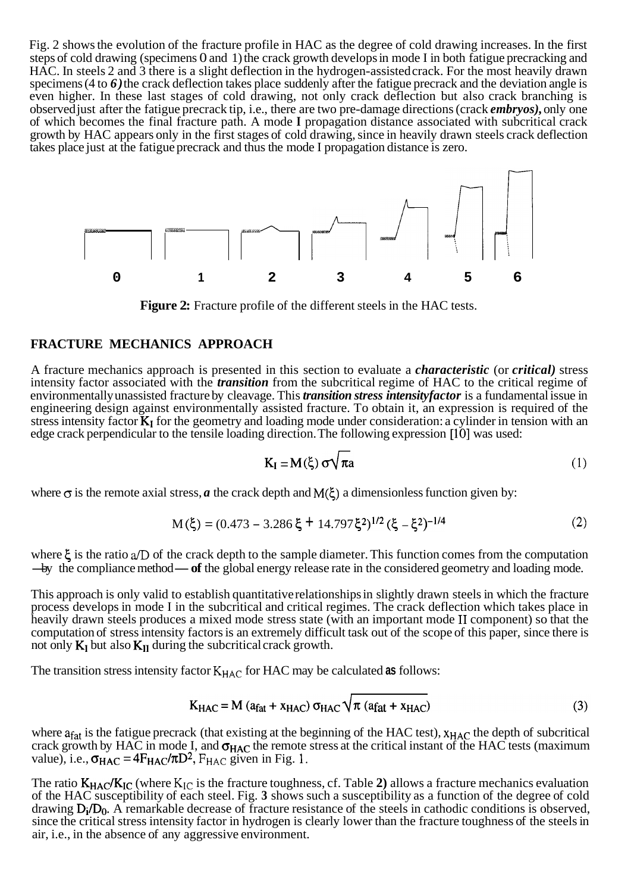Fig. 2 shows the evolution of the fracture profile in HAC as the degree of cold drawing increases. In the first steps of cold drawing (specimens 0 and 1) the crack growth develops in mode I in both fatigue precracking and HAC. In steels 2 and 3 there is a slight deflection in the hydrogen-assisted crack. For the most heavily drawn specimens (4 to 6) the crack deflection takes place suddenly after the fatigue precrack and the deviation angle is even higher. In these last stages of cold drawing, not only crack deflection but also crack branching is observed just after the fatigue precrack tip, i.e., there are two pre-damage directions (crack *embryos),* only one of which becomes the final fracture path. A mode **I** propagation distance associated with subcritical crack growth by HAC appears only in the first stages of cold drawing, since in heavily drawn steels crack deflection takes place just at the fatigue precrack and thus the mode I propagation distance is zero.



**Figure 2:** Fracture profile of the different steels in the HAC tests.

### **FRACTURE MECHANICS APPROACH**

A fracture mechanics approach is presented in this section to evaluate a *characteristic* (or *critical)* stress intensity factor associated with the *transition* from the subcritical regime of HAC to the critical regime of environmentally unassisted fracture by cleavage. This *transition stress intensity factor* is a fundamental issue in engineering design against environmentally assisted fracture. To obtain it, an expression is required of the stress intensity factor  $K_1$  for the geometry and loading mode under consideration: a cylinder in tension with an edge crack perpendicular to the tensile loading direction. The following expression [10] was used:

$$
K_{I} = M(\xi) \sigma \sqrt{\pi a}
$$
 (1)

where  $\sigma$  is the remote axial stress, *a* the crack depth and  $M(\xi)$  a dimensionless function given by:

$$
M(\xi) = (0.473 - 3.286\xi + 14.797\xi^2)^{1/2} (\xi - \xi^2)^{-1/4}
$$
 (2)

where  $\xi$  is the ratio  $\alpha/D$  of the crack depth to the sample diameter. This function comes from the computation where  $\xi$  is the ratio  $\alpha/D$  of the crack depth to the sample diameter. This function comes from the computation  $-$ by the compliance method  $-$  of the global energy release rate in the considered geometry and loading mo

This approach is only valid to establish quantitative relationships in slightly drawn steels in which the fracture process develops in mode I in the subcritical and critical regimes. The crack deflection which takes place in heavily drawn steels produces a mixed mode stress state (with an important mode **I1** component) so that the computation of stress intensity factors is an extremely difficult task out of the scope of this paper, since there is not only  $K_I$  but also  $K_{II}$  during the subcritical crack growth.

The transition stress intensity factor  $K_{HAC}$  for HAC may be calculated as follows:

$$
K_{HAC} = M (a_{fat} + x_{HAC}) \sigma_{HAC} \sqrt{\pi (a_{fat} + x_{HAC})}
$$
 (3)

where  $a_{fat}$  is the fatigue precrack (that existing at the beginning of the HAC test),  $x_{HAC}$  the depth of subcritical crack growth by HAC in mode I, and  $\sigma_{HAC}$  the remote stress at the critical instant of the HAC tests (maximum value), i.e.,  $\sigma_{HAC} = 4F_{HAC}/\pi D^2$ ,  $F_{HAC}$  given in Fig. 1.

The ratio  $K_{HAC}/K_{IC}$  (where  $K_{IC}$  is the fracture toughness, cf. Table 2) allows a fracture mechanics evaluation of the HAC susceptibility of each steel. Fig. **3** shows such a susceptibility as a function of the degree of cold drawing  $D_i/D_0$ . A remarkable decrease of fracture resistance of the steels in cathodic conditions is observed, since the critical stress intensity factor in hydrogen is clearly lower than the fracture toughness of the steels in air, i.e., in the absence of any aggressive environment.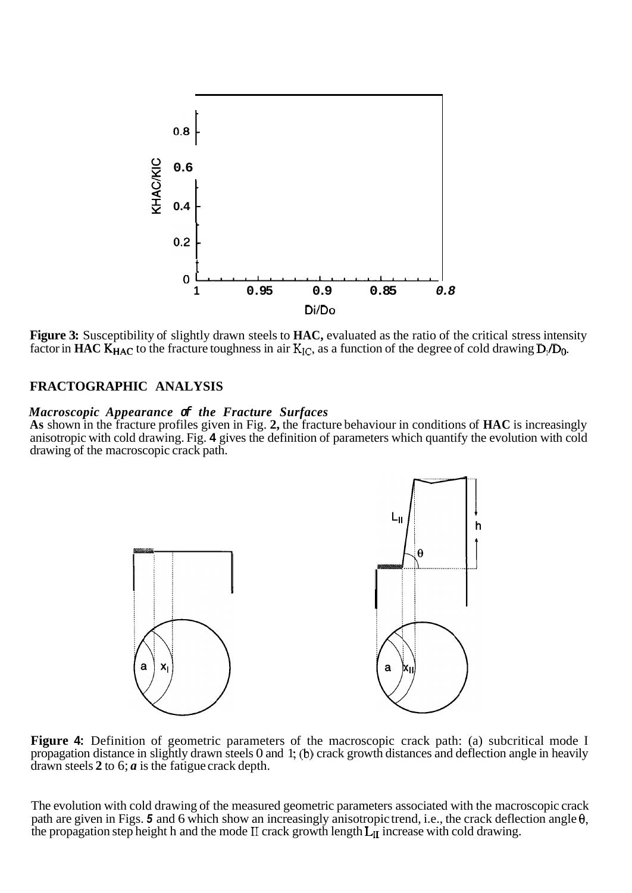

**Figure 3:** Susceptibility of slightly drawn steels to **HAC,** evaluated as the ratio of the critical stress intensity factor in **HAC K<sub>HAC</sub>** to the fracture toughness in air  $K_{IC}$ , as a function of the degree of cold drawing  $D_i/D_0$ .

### **FRACTOGRAPHIC ANALYSIS**

#### *Macroscopic Appearance of the Fracture Surfaces*

**As** shown in the fracture profiles given in Fig. **2,** the fracture behaviour in conditions of **HAC** is increasingly anisotropic with cold drawing. Fig. **4** gives the definition of parameters which quantify the evolution with cold drawing of the macroscopic crack path.



**Figure 4:** Definition of geometric parameters of the macroscopic crack path: (a) subcritical mode I propagation distance in slightly drawn steels 0 and 1; (b) crack growth distances and deflection angle in heavily drawn steels **2** to 6; *a* is the fatigue crack depth.

The evolution with cold drawing of the measured geometric parameters associated with the macroscopic crack path are given in Figs. *5* and 6 which show an increasingly anisotropic trend, i.e., the crack deflection angle **0,**  the propagation step height h and the mode  $II$  crack growth length  $L_{II}$  increase with cold drawing.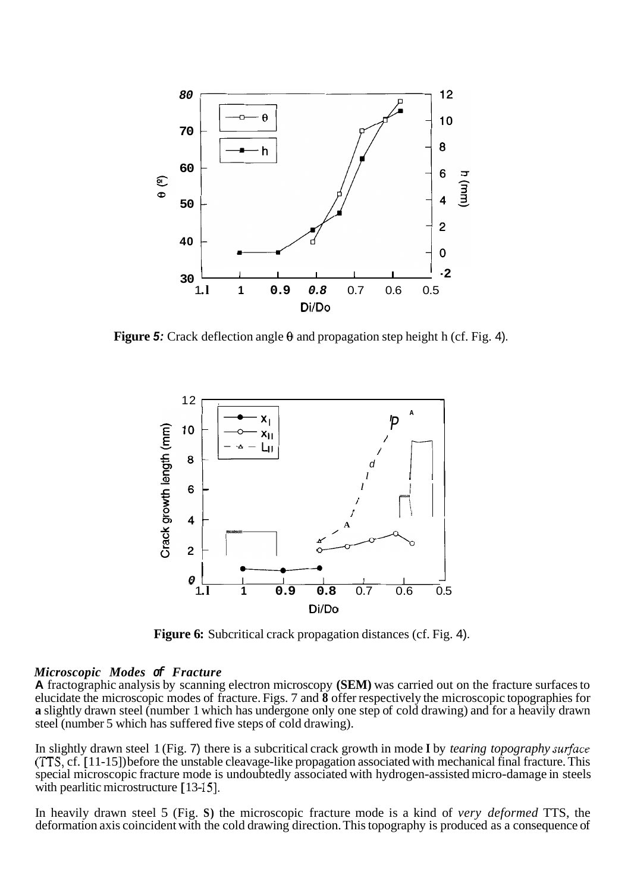

**Figure** *5:* Crack deflection angle **8** and propagation step height h (cf. Fig. 4).



**Figure 6:** Subcritical crack propagation distances (cf. Fig. 4).

#### *Microscopic Modes of Fracture*

**A** fractographic analysis by scanning electron microscopy **(SEM)** was carried out on the fracture surfaces to elucidate the microscopic modes of fracture. Figs. 7 and **8** offer respectively the microscopic topographies for **a** slightly drawn steel (number 1 which has undergone only one step of cold drawing) and for a heavily drawn steel (number 5 which has suffered five steps of cold drawing).

In slightly drawn steel 1 (Fig. 7) there is a subcritical crack growth in mode I by *tearing topography surface* **(TTS,** cf. [ 11-15]) before the unstable cleavage-like propagation associated with mechanical final fracture. This special microscopic fracture mode is undoubtedly associated with hydrogen-assisted micro-damage in steels with pearlitic microstructure  $[13-15]$ .

In heavily drawn steel 5 (Fig. **S)** the microscopic fracture mode is a kind of *very deformed* TTS, the deformation axis coincident with the cold drawing direction. This topography is produced as a consequence of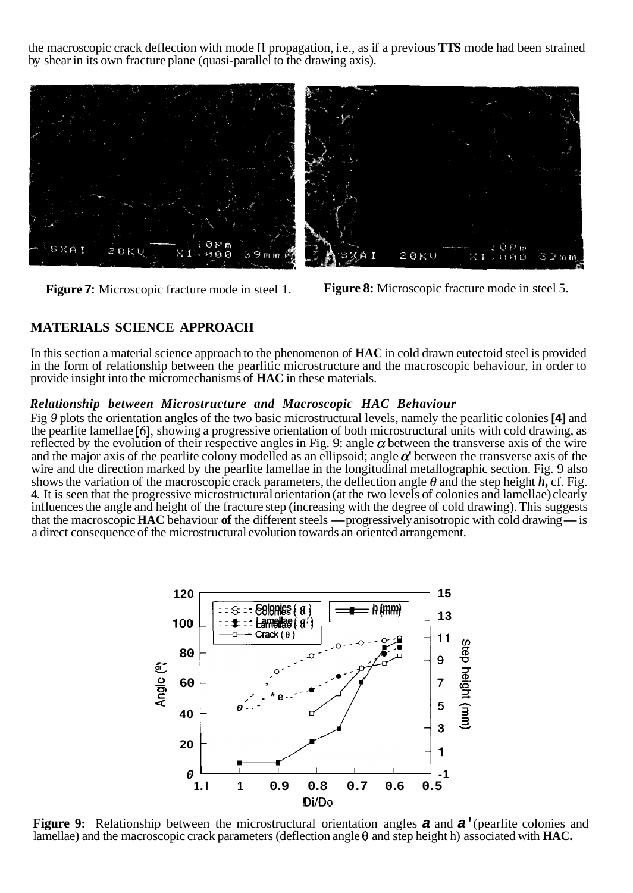the macroscopic crack deflection with mode **I1** propagation, i.e., as if a previous **TTS** mode had been strained by shear in its own fracture plane (quasi-parallel to the drawing axis).



**Figure 7:** Microscopic fracture mode in steel 1.

**Figure 8:** Microscopic fracture mode in steel 5.

# **MATERIALS SCIENCE APPROACH**

In this section a material science approach to the phenomenon of **HAC** in cold drawn eutectoid steel is provided in the form of relationship between the pearlitic microstructure and the macroscopic behaviour, in order to provide insight into the micromechanisms of **HAC** in these materials.

### *Relationship between Microstructure and Macroscopic HAC Behaviour*

Fig *9* plots the orientation angles of the two basic microstructural levels, namely the pearlitic colonies **[4]** and the pearlite lamellae *[6],* showing a progressive orientation of both microstructural units with cold drawing, as reflected by the evolution of their respective angles in Fig. 9: angle  $\alpha$  between the transverse axis of the wire and the major axis of the pearlite colony modelled as an ellipsoid; angle  $\alpha'$  between the transverse axis of the wire and the direction marked by the pearlite lamellae in the longitudinal metallographic section. Fig. 9 also shows the variation of the macroscopic crack parameters, the deflection angle  $\theta$  and the step height  $h$ , cf. Fig. 4. It is seen that the progressive microstructural orientation (at the two levels of colonies and lamellae) clearly<br>influences the angle and height of the fracture step (increasing with the degree of cold drawing). This s influences the angle and height of the fracture step (increasing with the degree of cold drawing). This suggests a direct consequence of the microstructural evolution towards an oriented arrangement.



**Figure 9:** Relationship between the microstructural orientation angles *a* and *a'* (pearlite colonies and lamellae) and the macroscopic crack parameters (deflection angle **8** and step height h) associated with **HAC.**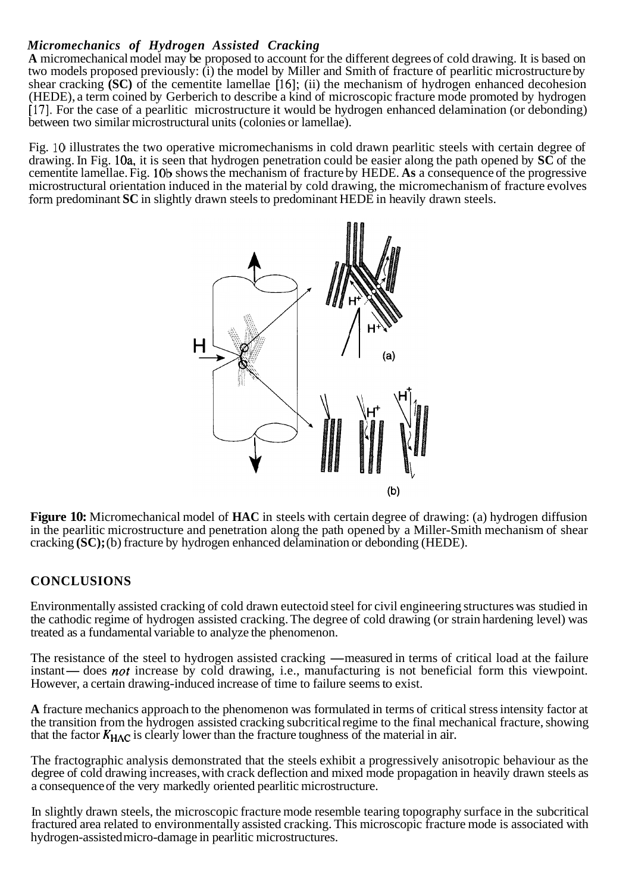### *Micromechanics of Hydrogen Assisted Cracking*

**A** micromechanical model may be proposed to account for the different degrees of cold drawing. It is based on two models proposed previously: (i) the model by Miller and Smith of fracture of pearlitic microstructure by shear cracking **(SC)** of the cementite lamellae [16]; (ii) the mechanism of hydrogen enhanced decohesion (HEDE), a term coined by Gerberich to describe a kind of microscopic fracture mode promoted by hydrogen [17]. For the case of a pearlitic microstructure it would be hydrogen enhanced delamination (or debonding) between two similar microstructural units (colonies or lamellae).

Fig. 10 illustrates the two operative micromechanisms in cold drawn pearlitic steels with certain degree of drawing. In Fig. 10a, it is seen that hydrogen penetration could be easier along the path opened by **SC** of the cementite lamellae. Fig. lob shows the mechanism of fracture by HEDE. **As** a consequence of the progressive microstructural orientation induced in the material by cold drawing, the micromechanism of fracture evolves form predominant **SC** in slightly drawn steels to predominant HEDE in heavily drawn steels.



**Figure 10:** Micromechanical model of **HAC** in steels with certain degree of drawing: (a) hydrogen diffusion in the pearlitic microstructure and penetration along the path opened by a Miller-Smith mechanism of shear cracking **(SC);** (b) fracture by hydrogen enhanced delamination or debonding (HEDE).

### **CONCLUSIONS**

Environmentally assisted cracking of cold drawn eutectoid steel for civil engineering structures was studied in the cathodic regime of hydrogen assisted cracking. The degree of cold drawing (or strain hardening level) was treated as a fundamental variable to analyze the phenomenon.

The resistance of the steel to hydrogen assisted cracking. The degree of cold drawing (or strain nationing ever) was<br>The resistance of the steel to hydrogen assisted cracking —measured in terms of critical load at the fail The resistance of the steel to hydrogen assisted cracking — measured in terms of critical load at the failure<br>instant— does *not* increase by cold drawing, i.e., manufacturing is not beneficial form this viewpoint.<br>However instant— does *not* increase by cold drawing, i.e., manufacturing is not beneficial form this viewpoint.<br>However, a certain drawing-induced increase of time to failure seems to exist.

**A** fracture mechanics approach to the phenomenon was formulated in terms of critical stress intensity factor at the transition from the hydrogen assisted cracking subcritical regime to the final mechanical fracture, showing that the factor  $K_{HAC}$  is clearly lower than the fracture toughness of the material in air.

The fractographic analysis demonstrated that the steels exhibit a progressively anisotropic behaviour as the degree of cold drawing increases, with crack deflection and mixed mode propagation in heavily drawn steels as a consequence of the very markedly oriented pearlitic microstructure.

In slightly drawn steels, the microscopic fracture mode resemble tearing topography surface in the subcritical fractured area related to environmentally assisted cracking. This microscopic fracture mode is associated with hydrogen-assisted micro-damage in pearlitic microstructures.